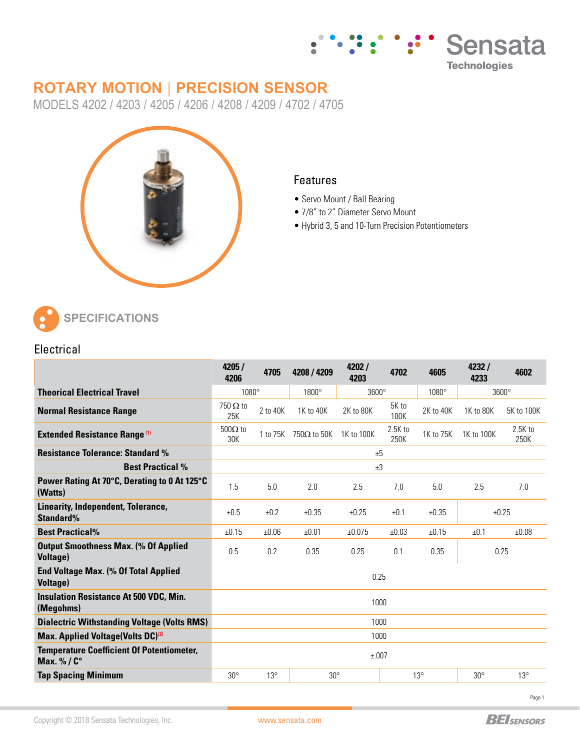

# **ROTARY MOTION | PRECISION SENSOR**

MODELS 4202 / 4203 / 4205 / 4206 / 4208 / 4209 / 4702 / 4705



### **Features**

- Servo Mount / Ball Bearing
- 7/8" to 2" Diameter Servo Mount
- Hybrid 3, 5 and 10-Turn Precision Potentiometers



## **Electrical**

|                                                                | 4205 /<br>4206         | 4705       | 4208 / 4209                 | 4202/<br>4203 | 4702              | 4605         | 4232/<br>4233 | 4602              |
|----------------------------------------------------------------|------------------------|------------|-----------------------------|---------------|-------------------|--------------|---------------|-------------------|
| <b>Theorical Electrical Travel</b>                             | 1080°                  |            | 1800°                       | $3600^\circ$  |                   | $1080^\circ$ | $3600^\circ$  |                   |
| <b>Normal Resistance Range</b>                                 | $750 \Omega$ to<br>25K | 2 to 40K   | 1K to 40K                   | 2K to 80K     | 5K to<br>100K     | 2K to 40K    | 1K to 80K     | 5K to 100K        |
| <b>Extended Resistance Range (1)</b>                           | $500\Omega$ to<br>30K  |            | 1 to 75K $750\Omega$ to 50K | 1K to 100K    | $2.5K$ to<br>250K | 1K to 75K    | 1K to 100K    | $2.5K$ to<br>250K |
| <b>Resistance Tolerance: Standard %</b>                        | ±5                     |            |                             |               |                   |              |               |                   |
| <b>Best Practical %</b>                                        | $+3$                   |            |                             |               |                   |              |               |                   |
| Power Rating At 70°C, Derating to 0 At 125°C<br>(Watts)        | 1.5                    | 5.0        | 2.0                         | 2.5           | 7.0               | 5.0          | 2.5           | 7.0               |
| Linearity, Independent, Tolerance,<br>Standard%                | ±0.5                   | $+0.2$     | ±0.35                       | $+0.25$       | ±0.1              | ±0.35        | ±0.25         |                   |
| <b>Best Practical%</b>                                         | ±0.15                  | ±0.06      | ±0.01                       | ±0.075        | ±0.03             | ±0.15        | ±0.1          | ±0.08             |
| <b>Output Smoothness Max. (% Of Applied</b><br><b>Voltage)</b> | 0.5                    | 0.2        | 0.35                        | 0.25          | 0.1               | 0.35         | 0.25          |                   |
| <b>End Voltage Max. (% Of Total Applied</b><br><b>Voltage)</b> | 0.25                   |            |                             |               |                   |              |               |                   |
| <b>Insulation Resistance At 500 VDC, Min.</b><br>(Megohms)     | 1000                   |            |                             |               |                   |              |               |                   |
| <b>Dialectric Withstanding Voltage (Volts RMS)</b>             | 1000                   |            |                             |               |                   |              |               |                   |
| Max. Applied Voltage(Volts DC) <sup>(2)</sup>                  | 1000                   |            |                             |               |                   |              |               |                   |
| <b>Temperature Coefficient Of Potentiometer,</b><br>Max. %/C°  | ±.007                  |            |                             |               |                   |              |               |                   |
| <b>Tap Spacing Minimum</b>                                     | $30^\circ$             | $13^\circ$ | $30^\circ$                  |               | $13^\circ$        |              | $30^\circ$    | $13^\circ$        |

Page 1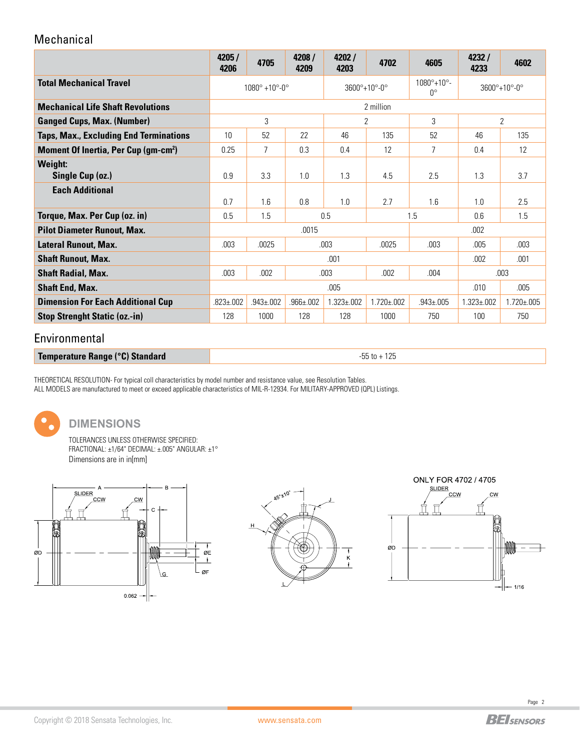## Mechanical

|                                                       | 4205/<br>4206                           | 4705            | 4208 /<br>4209  | 4202/<br>4203                 | 4702              | 4605                                       | 4232/<br>4233                         | 4602              |
|-------------------------------------------------------|-----------------------------------------|-----------------|-----------------|-------------------------------|-------------------|--------------------------------------------|---------------------------------------|-------------------|
| <b>Total Mechanical Travel</b>                        | $1080^{\circ} + 10^{\circ} - 0^{\circ}$ |                 |                 | $3600^{\circ}+10^{\circ}$ -0° |                   | $1080^{\circ}+10^{\circ}$ -<br>$0^{\circ}$ | $3600^{\circ}+10^{\circ} - 0^{\circ}$ |                   |
| <b>Mechanical Life Shaft Revolutions</b>              | 2 million                               |                 |                 |                               |                   |                                            |                                       |                   |
| <b>Ganged Cups, Max. (Number)</b>                     | 3                                       |                 |                 | $\overline{2}$                |                   | 3                                          | $\overline{2}$                        |                   |
| <b>Taps, Max., Excluding End Terminations</b>         | 10                                      | 52              | 22              | 46                            | 135               | 52                                         | 46                                    | 135               |
| <b>Moment Of Inertia, Per Cup (gm-cm<sup>2</sup>)</b> | 0.25                                    | 7               | 0.3             | 0.4                           | 12                | 7                                          | 0.4                                   | 12                |
| <b>Weight:</b><br>Single Cup (oz.)                    | 0.9                                     | 3.3             | 1.0             | 1.3                           | 4.5               | 2.5                                        | 1.3                                   | 3.7               |
| <b>Each Additional</b>                                | 0.7                                     | 1.6             | 0.8             | 1.0                           | 2.7               | 1.6                                        | 1.0                                   | 2.5               |
| Torque, Max. Per Cup (oz. in)                         | 1.5<br>0.5                              |                 |                 | 0.5                           |                   | 1.5                                        | 0.6                                   | 1.5               |
| <b>Pilot Diameter Runout, Max.</b>                    |                                         |                 | .0015           |                               |                   | .002                                       |                                       |                   |
| <b>Lateral Runout, Max.</b>                           | .003<br>.0025<br>.003                   |                 | .0025           | .003                          | .005              | .003                                       |                                       |                   |
| <b>Shaft Runout, Max.</b>                             | .001<br>.001<br>.002                    |                 |                 |                               |                   |                                            |                                       |                   |
| <b>Shaft Radial, Max.</b>                             | .003<br>.003<br>.002                    |                 |                 | .002                          | .004              | .003                                       |                                       |                   |
| <b>Shaft End, Max.</b>                                | .005                                    |                 |                 |                               |                   |                                            | .010                                  | .005              |
| <b>Dimension For Each Additional Cup</b>              | $.823 \pm .002$                         | $.943 \pm .002$ | $.966 \pm .002$ | $1.323 \pm 0.002$             | $1.720 \pm 0.002$ | $.943 \pm 005$                             | $1.323 \pm 0.02$                      | $1.720 \pm 0.005$ |
| <b>Stop Strenght Static (oz.-in)</b>                  | 128                                     | 1000            | 128             | 128                           | 1000              | 750                                        | 100                                   | 750               |

## Environmental

**Temperature Range (°C) Standard -55** to + 125

THEORETICAL RESOLUTION- For typical coll characteristics by model number and resistance value, see Resolution Tables. ALL MODELS are manufactured to meet or exceed applicable characteristics of MIL-R-12934. For MILITARY-APPROVED (QPL) Listings.



#### **DIMENSIONS**

TOLERANCES UNLESS OTHERWISE SPECIFIED: FRACTIONAL: ±1/64" DECIMAL: ±.005" ANGULAR: ±1° Dimensions are in in[mm]